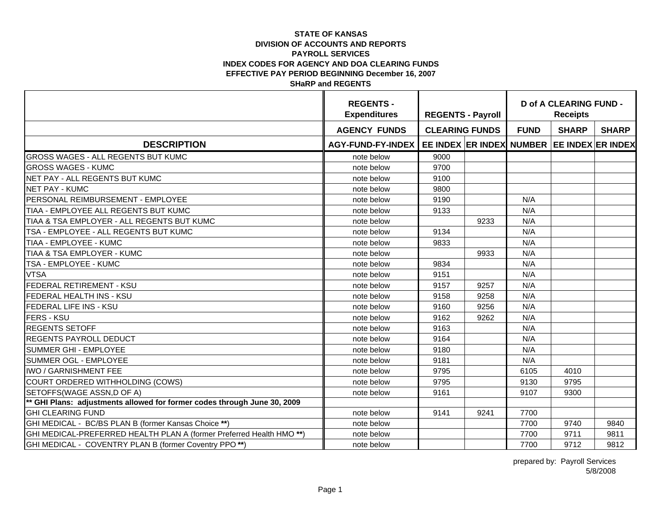|                                                                          | <b>REGENTS -</b><br><b>Expenditures</b> | <b>REGENTS - Payroll</b> |      | <b>D of A CLEARING FUND -</b><br><b>Receipts</b> |                                            |              |  |
|--------------------------------------------------------------------------|-----------------------------------------|--------------------------|------|--------------------------------------------------|--------------------------------------------|--------------|--|
|                                                                          | <b>AGENCY FUNDS</b>                     | <b>CLEARING FUNDS</b>    |      | <b>FUND</b>                                      | <b>SHARP</b>                               | <b>SHARP</b> |  |
| <b>DESCRIPTION</b>                                                       | AGY-FUND-FY-INDEX                       |                          |      |                                                  | EE INDEX ER INDEX NUMBER EE INDEX ER INDEX |              |  |
| <b>GROSS WAGES - ALL REGENTS BUT KUMC</b>                                | note below                              | 9000                     |      |                                                  |                                            |              |  |
| <b>GROSS WAGES - KUMC</b>                                                | note below                              | 9700                     |      |                                                  |                                            |              |  |
| NET PAY - ALL REGENTS BUT KUMC                                           | note below                              | 9100                     |      |                                                  |                                            |              |  |
| <b>NET PAY - KUMC</b>                                                    | note below                              | 9800                     |      |                                                  |                                            |              |  |
| PERSONAL REIMBURSEMENT - EMPLOYEE                                        | note below                              | 9190                     |      | N/A                                              |                                            |              |  |
| TIAA - EMPLOYEE ALL REGENTS BUT KUMC                                     | note below                              | 9133                     |      | N/A                                              |                                            |              |  |
| TIAA & TSA EMPLOYER - ALL REGENTS BUT KUMC                               | note below                              |                          | 9233 | N/A                                              |                                            |              |  |
| TSA - EMPLOYEE - ALL REGENTS BUT KUMC                                    | note below                              | 9134                     |      | N/A                                              |                                            |              |  |
| TIAA - EMPLOYEE - KUMC                                                   | note below                              | 9833                     |      | N/A                                              |                                            |              |  |
| TIAA & TSA EMPLOYER - KUMC                                               | note below                              |                          | 9933 | N/A                                              |                                            |              |  |
| <b>TSA - EMPLOYEE - KUMC</b>                                             | note below                              | 9834                     |      | N/A                                              |                                            |              |  |
| <b>VTSA</b>                                                              | note below                              | 9151                     |      | N/A                                              |                                            |              |  |
| <b>FEDERAL RETIREMENT - KSU</b>                                          | note below                              | 9157                     | 9257 | N/A                                              |                                            |              |  |
| <b>FEDERAL HEALTH INS - KSU</b>                                          | note below                              | 9158                     | 9258 | N/A                                              |                                            |              |  |
| <b>FEDERAL LIFE INS - KSU</b>                                            | note below                              | 9160                     | 9256 | N/A                                              |                                            |              |  |
| <b>FERS - KSU</b>                                                        | note below                              | 9162                     | 9262 | N/A                                              |                                            |              |  |
| <b>REGENTS SETOFF</b>                                                    | note below                              | 9163                     |      | N/A                                              |                                            |              |  |
| <b>REGENTS PAYROLL DEDUCT</b>                                            | note below                              | 9164                     |      | N/A                                              |                                            |              |  |
| <b>SUMMER GHI - EMPLOYEE</b>                                             | note below                              | 9180                     |      | N/A                                              |                                            |              |  |
| <b>SUMMER OGL - EMPLOYEE</b>                                             | note below                              | 9181                     |      | N/A                                              |                                            |              |  |
| IWO / GARNISHMENT FEE                                                    | note below                              | 9795                     |      | 6105                                             | 4010                                       |              |  |
| COURT ORDERED WITHHOLDING (COWS)                                         | note below                              | 9795                     |      | 9130                                             | 9795                                       |              |  |
| SETOFFS(WAGE ASSN,D OF A)                                                | note below                              | 9161                     |      | 9107                                             | 9300                                       |              |  |
| ** GHI Plans: adjustments allowed for former codes through June 30, 2009 |                                         |                          |      |                                                  |                                            |              |  |
| <b>GHI CLEARING FUND</b>                                                 | note below                              | 9141                     | 9241 | 7700                                             |                                            |              |  |
| GHI MEDICAL - BC/BS PLAN B (former Kansas Choice **)                     | note below                              |                          |      | 7700                                             | 9740                                       | 9840         |  |
| GHI MEDICAL-PREFERRED HEALTH PLAN A (former Preferred Health HMO**)      | note below                              |                          |      | 7700                                             | 9711                                       | 9811         |  |
| GHI MEDICAL - COVENTRY PLAN B (former Coventry PPO**)                    | note below                              |                          |      | 7700                                             | 9712                                       | 9812         |  |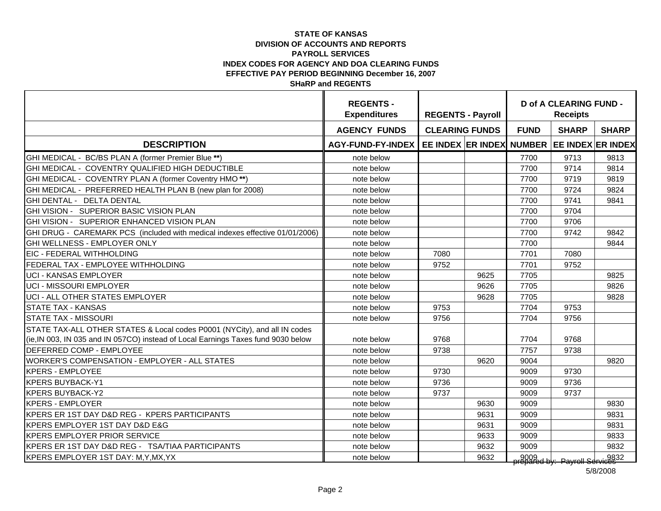|                                                                                   | <b>REGENTS -</b><br><b>Expenditures</b> | <b>REGENTS - Payroll</b> |      | <b>D of A CLEARING FUND -</b><br><b>Receipts</b> |                                      |              |  |
|-----------------------------------------------------------------------------------|-----------------------------------------|--------------------------|------|--------------------------------------------------|--------------------------------------|--------------|--|
|                                                                                   | <b>AGENCY FUNDS</b>                     | <b>CLEARING FUNDS</b>    |      | <b>FUND</b>                                      | <b>SHARP</b>                         | <b>SHARP</b> |  |
| <b>DESCRIPTION</b>                                                                | <b>AGY-FUND-FY-INDEX</b>                | EE INDEX ER INDEX NUMBER |      |                                                  | <b>EE INDEX ER INDEX</b>             |              |  |
| GHI MEDICAL - BC/BS PLAN A (former Premier Blue **)                               | note below                              |                          |      | 7700                                             | 9713                                 | 9813         |  |
| GHI MEDICAL - COVENTRY QUALIFIED HIGH DEDUCTIBLE                                  | note below                              |                          |      | 7700                                             | 9714                                 | 9814         |  |
| GHI MEDICAL - COVENTRY PLAN A (former Coventry HMO**)                             | note below                              |                          |      | 7700                                             | 9719                                 | 9819         |  |
| GHI MEDICAL - PREFERRED HEALTH PLAN B (new plan for 2008)                         | note below                              |                          |      | 7700                                             | 9724                                 | 9824         |  |
| GHI DENTAL - DELTA DENTAL                                                         | note below                              |                          |      | 7700                                             | 9741                                 | 9841         |  |
| GHI VISION - SUPERIOR BASIC VISION PLAN                                           | note below                              |                          |      | 7700                                             | 9704                                 |              |  |
| GHI VISION - SUPERIOR ENHANCED VISION PLAN                                        | note below                              |                          |      | 7700                                             | 9706                                 |              |  |
| GHI DRUG - CAREMARK PCS (included with medical indexes effective 01/01/2006)      | note below                              |                          |      | 7700                                             | 9742                                 | 9842         |  |
| GHI WELLNESS - EMPLOYER ONLY                                                      | note below                              |                          |      | 7700                                             |                                      | 9844         |  |
| EIC - FEDERAL WITHHOLDING                                                         | note below                              | 7080                     |      | 7701                                             | 7080                                 |              |  |
| <b>FEDERAL TAX - EMPLOYEE WITHHOLDING</b>                                         | note below                              | 9752                     |      | 7701                                             | 9752                                 |              |  |
| <b>I</b> UCI - KANSAS EMPLOYER                                                    | note below                              |                          | 9625 | 7705                                             |                                      | 9825         |  |
| <b>UCI - MISSOURI EMPLOYER</b>                                                    | note below                              |                          | 9626 | 7705                                             |                                      | 9826         |  |
| UCI - ALL OTHER STATES EMPLOYER                                                   | note below                              |                          | 9628 | 7705                                             |                                      | 9828         |  |
| <b>STATE TAX - KANSAS</b>                                                         | note below                              | 9753                     |      | 7704                                             | 9753                                 |              |  |
| <b>STATE TAX - MISSOURI</b>                                                       | note below                              | 9756                     |      | 7704                                             | 9756                                 |              |  |
| STATE TAX-ALL OTHER STATES & Local codes P0001 (NYCity), and all IN codes         |                                         |                          |      |                                                  |                                      |              |  |
| (ie, IN 003, IN 035 and IN 057CO) instead of Local Earnings Taxes fund 9030 below | note below                              | 9768                     |      | 7704                                             | 9768                                 |              |  |
| <b>DEFERRED COMP - EMPLOYEE</b>                                                   | note below                              | 9738                     |      | 7757                                             | 9738                                 |              |  |
| <b>WORKER'S COMPENSATION - EMPLOYER - ALL STATES</b>                              | note below                              |                          | 9620 | 9004                                             |                                      | 9820         |  |
| <b>KPERS - EMPLOYEE</b>                                                           | note below                              | 9730                     |      | 9009                                             | 9730                                 |              |  |
| <b>KPERS BUYBACK-Y1</b>                                                           | note below                              | 9736                     |      | 9009                                             | 9736                                 |              |  |
| <b>KPERS BUYBACK-Y2</b>                                                           | note below                              | 9737                     |      | 9009                                             | 9737                                 |              |  |
| <b>KPERS - EMPLOYER</b>                                                           | note below                              |                          | 9630 | 9009                                             |                                      | 9830         |  |
| KPERS ER 1ST DAY D&D REG - KPERS PARTICIPANTS                                     | note below                              |                          | 9631 | 9009                                             |                                      | 9831         |  |
| KPERS EMPLOYER 1ST DAY D&D E&G                                                    | note below                              |                          | 9631 | 9009                                             |                                      | 9831         |  |
| <b>KPERS EMPLOYER PRIOR SERVICE</b>                                               | note below                              |                          | 9633 | 9009                                             |                                      | 9833         |  |
| KPERS ER 1ST DAY D&D REG - TSA/TIAA PARTICIPANTS                                  | note below                              |                          | 9632 | 9009                                             |                                      | 9832         |  |
| KPERS EMPLOYER 1ST DAY: M, Y, MX, YX                                              | note below                              |                          | 9632 |                                                  | 9009<br>Repared by: Payroll Services |              |  |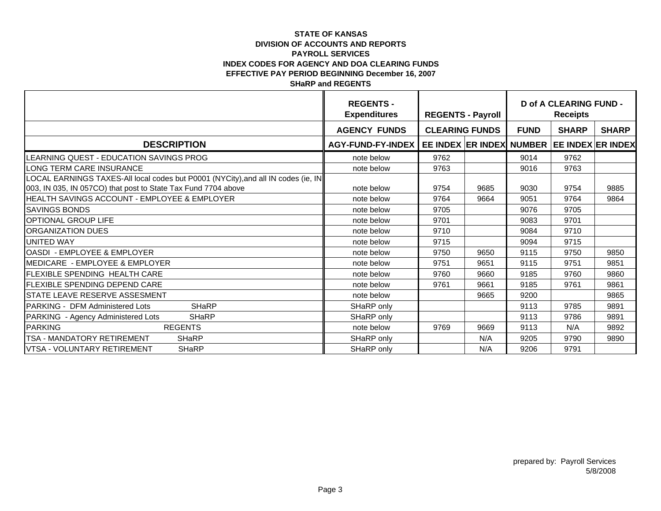|                                                                                   | <b>REGENTS -</b><br><b>Expenditures</b> | <b>REGENTS - Payroll</b>                   |      | <b>D of A CLEARING FUND -</b><br><b>Receipts</b> |              |              |  |
|-----------------------------------------------------------------------------------|-----------------------------------------|--------------------------------------------|------|--------------------------------------------------|--------------|--------------|--|
|                                                                                   | <b>AGENCY FUNDS</b>                     | <b>CLEARING FUNDS</b>                      |      | <b>FUND</b>                                      | <b>SHARP</b> | <b>SHARP</b> |  |
| <b>DESCRIPTION</b>                                                                | AGY-FUND-FY-INDEX                       | EE INDEX ER INDEX NUMBER EE INDEX ER INDEX |      |                                                  |              |              |  |
| LEARNING QUEST - EDUCATION SAVINGS PROG                                           | note below                              | 9762                                       |      | 9014                                             | 9762         |              |  |
| LONG TERM CARE INSURANCE                                                          | note below                              | 9763                                       |      | 9016                                             | 9763         |              |  |
| LOCAL EARNINGS TAXES-All local codes but P0001 (NYCity), and all IN codes (ie, IN |                                         |                                            |      |                                                  |              |              |  |
| 003, IN 035, IN 057CO) that post to State Tax Fund 7704 above                     | note below                              | 9754                                       | 9685 | 9030                                             | 9754         | 9885         |  |
| HEALTH SAVINGS ACCOUNT - EMPLOYEE & EMPLOYER                                      | note below                              | 9764                                       | 9664 | 9051                                             | 9764         | 9864         |  |
| <b>SAVINGS BONDS</b>                                                              | note below                              | 9705                                       |      | 9076                                             | 9705         |              |  |
| <b>OPTIONAL GROUP LIFE</b>                                                        | note below                              | 9701                                       |      | 9083                                             | 9701         |              |  |
| <b>ORGANIZATION DUES</b>                                                          | note below                              | 9710                                       |      | 9084                                             | 9710         |              |  |
| <b>UNITED WAY</b>                                                                 | note below                              | 9715                                       |      | 9094                                             | 9715         |              |  |
| OASDI - EMPLOYEE & EMPLOYER                                                       | note below                              | 9750                                       | 9650 | 9115                                             | 9750         | 9850         |  |
| <b>IMEDICARE - EMPLOYEE &amp; EMPLOYER</b>                                        | note below                              | 9751                                       | 9651 | 9115                                             | 9751         | 9851         |  |
| <b>FLEXIBLE SPENDING HEALTH CARE</b>                                              | note below                              | 9760                                       | 9660 | 9185                                             | 9760         | 9860         |  |
| <b>FLEXIBLE SPENDING DEPEND CARE</b>                                              | note below                              | 9761                                       | 9661 | 9185                                             | 9761         | 9861         |  |
| <b>STATE LEAVE RESERVE ASSESMENT</b>                                              | note below                              |                                            | 9665 | 9200                                             |              | 9865         |  |
| <b>SHaRP</b><br>PARKING - DFM Administered Lots                                   | SHaRP only                              |                                            |      | 9113                                             | 9785         | 9891         |  |
| PARKING - Agency Administered Lots<br><b>SHaRP</b>                                | SHaRP only                              |                                            |      | 9113                                             | 9786         | 9891         |  |
| <b>PARKING</b><br><b>REGENTS</b>                                                  | note below                              | 9769                                       | 9669 | 9113                                             | N/A          | 9892         |  |
| <b>TSA - MANDATORY RETIREMENT</b><br><b>SHaRP</b>                                 | SHaRP only                              |                                            | N/A  | 9205                                             | 9790         | 9890         |  |
| VTSA - VOLUNTARY RETIREMENT<br><b>SHaRP</b>                                       | SHaRP only                              |                                            | N/A  | 9206                                             | 9791         |              |  |